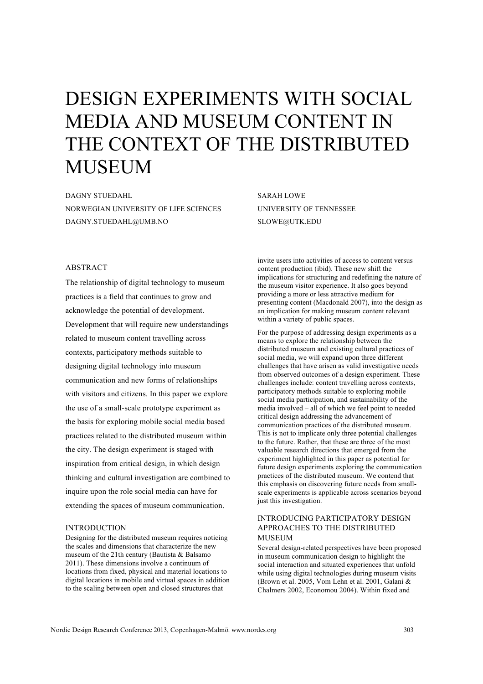# DESIGN EXPERIMENTS WITH SOCIAL MEDIA AND MUSEUM CONTENT IN THE CONTEXT OF THE DISTRIBUTED MUSEUM

DAGNY STUEDAHL NORWEGIAN UNIVERSITY OF LIFE SCIENCES DAGNY.STUEDAHL@UMB.NO

SARAH LOWE UNIVERSITY OF TENNESSEE SLOWE@UTK.EDU

## ABSTRACT

The relationship of digital technology to museum practices is a field that continues to grow and acknowledge the potential of development. Development that will require new understandings related to museum content travelling across contexts, participatory methods suitable to designing digital technology into museum communication and new forms of relationships with visitors and citizens. In this paper we explore the use of a small-scale prototype experiment as the basis for exploring mobile social media based practices related to the distributed museum within the city. The design experiment is staged with inspiration from critical design, in which design thinking and cultural investigation are combined to inquire upon the role social media can have for extending the spaces of museum communication.

#### INTRODUCTION

Designing for the distributed museum requires noticing the scales and dimensions that characterize the new museum of the 21th century (Bautista & Balsamo 2011). These dimensions involve a continuum of locations from fixed, physical and material locations to digital locations in mobile and virtual spaces in addition to the scaling between open and closed structures that

invite users into activities of access to content versus content production (ibid). These new shift the implications for structuring and redefining the nature of the museum visitor experience. It also goes beyond providing a more or less attractive medium for presenting content (Macdonald 2007), into the design as an implication for making museum content relevant within a variety of public spaces.

For the purpose of addressing design experiments as a means to explore the relationship between the distributed museum and existing cultural practices of social media, we will expand upon three different challenges that have arisen as valid investigative needs from observed outcomes of a design experiment. These challenges include: content travelling across contexts, participatory methods suitable to exploring mobile social media participation, and sustainability of the media involved – all of which we feel point to needed critical design addressing the advancement of communication practices of the distributed museum. This is not to implicate only three potential challenges to the future. Rather, that these are three of the most valuable research directions that emerged from the experiment highlighted in this paper as potential for future design experiments exploring the communication practices of the distributed museum. We contend that this emphasis on discovering future needs from smallscale experiments is applicable across scenarios beyond just this investigation.

## INTRODUCING PARTICIPATORY DESIGN APPROACHES TO THE DISTRIBUTED **MUSEUM**

Several design-related perspectives have been proposed in museum communication design to highlight the social interaction and situated experiences that unfold while using digital technologies during museum visits (Brown et al. 2005, Vom Lehn et al. 2001, Galani & Chalmers 2002, Economou 2004). Within fixed and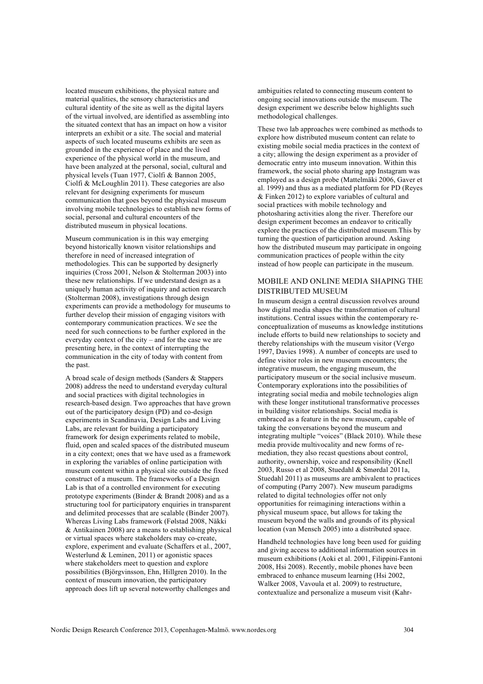located museum exhibitions, the physical nature and material qualities, the sensory characteristics and cultural identity of the site as well as the digital layers of the virtual involved, are identified as assembling into the situated context that has an impact on how a visitor interprets an exhibit or a site. The social and material aspects of such located museums exhibits are seen as grounded in the experience of place and the lived experience of the physical world in the museum, and have been analyzed at the personal, social, cultural and physical levels (Tuan 1977, Ciolfi & Bannon 2005, Ciolfi & McLoughlin 2011). These categories are also relevant for designing experiments for museum communication that goes beyond the physical museum involving mobile technologies to establish new forms of social, personal and cultural encounters of the distributed museum in physical locations.

Museum communication is in this way emerging beyond historically known visitor relationships and therefore in need of increased integration of methodologies. This can be supported by designerly inquiries (Cross 2001, Nelson & Stolterman 2003) into these new relationships. If we understand design as a uniquely human activity of inquiry and action research (Stolterman 2008), investigations through design experiments can provide a methodology for museums to further develop their mission of engaging visitors with contemporary communication practices. We see the need for such connections to be further explored in the everyday context of the city – and for the case we are presenting here, in the context of interrupting the communication in the city of today with content from the past.

A broad scale of design methods (Sanders & Stappers 2008) address the need to understand everyday cultural and social practices with digital technologies in research-based design. Two approaches that have grown out of the participatory design (PD) and co-design experiments in Scandinavia, Design Labs and Living Labs, are relevant for building a participatory framework for design experiments related to mobile, fluid, open and scaled spaces of the distributed museum in a city context; ones that we have used as a framework in exploring the variables of online participation with museum content within a physical site outside the fixed construct of a museum. The frameworks of a Design Lab is that of a controlled environment for executing prototype experiments (Binder & Brandt 2008) and as a structuring tool for participatory enquiries in transparent and delimited processes that are scalable (Binder 2007). Whereas Living Labs framework (Følstad 2008, Näkki & Antikainen 2008) are a means to establishing physical or virtual spaces where stakeholders may co-create, explore, experiment and evaluate (Schaffers et al., 2007, Westerlund  $&$  Leminen, 2011) or agonistic spaces where stakeholders meet to question and explore possibilities (Björgvinsson, Ehn, Hillgren 2010). In the context of museum innovation, the participatory approach does lift up several noteworthy challenges and

ambiguities related to connecting museum content to ongoing social innovations outside the museum. The design experiment we describe below highlights such methodological challenges.

These two lab approaches were combined as methods to explore how distributed museum content can relate to existing mobile social media practices in the context of a city; allowing the design experiment as a provider of democratic entry into museum innovation. Within this framework, the social photo sharing app Instagram was employed as a design probe (Mattelmäki 2006, Gaver et al. 1999) and thus as a mediated platform for PD (Reyes & Finken 2012) to explore variables of cultural and social practices with mobile technology and photosharing activities along the river. Therefore our design experiment becomes an endeavor to critically explore the practices of the distributed museum.This by turning the question of participation around. Asking how the distributed museum may participate in ongoing communication practices of people within the city instead of how people can participate in the museum.

## MOBILE AND ONLINE MEDIA SHAPING THE DISTRIBUTED MUSEUM

In museum design a central discussion revolves around how digital media shapes the transformation of cultural institutions. Central issues within the contemporary reconceptualization of museums as knowledge institutions include efforts to build new relationships to society and thereby relationships with the museum visitor (Vergo 1997, Davies 1998). A number of concepts are used to define visitor roles in new museum encounters; the integrative museum, the engaging museum, the participatory museum or the social inclusive museum. Contemporary explorations into the possibilities of integrating social media and mobile technologies align with these longer institutional transformative processes in building visitor relationships. Social media is embraced as a feature in the new museum, capable of taking the conversations beyond the museum and integrating multiple "voices" (Black 2010). While these media provide multivocality and new forms of remediation, they also recast questions about control, authority, ownership, voice and responsibility (Knell 2003, Russo et al 2008, Stuedahl & Smørdal 2011a, Stuedahl 2011) as museums are ambivalent to practices of computing (Parry 2007). New museum paradigms related to digital technologies offer not only opportunities for reimagining interactions within a physical museum space, but allows for taking the museum beyond the walls and grounds of its physical location (van Mensch 2005) into a distributed space.

Handheld technologies have long been used for guiding and giving access to additional information sources in museum exhibitions (Aoki et al. 2001, Filippini-Fantoni 2008, Hsi 2008). Recently, mobile phones have been embraced to enhance museum learning (Hsi 2002, Walker 2008, Vavoula et al. 2009) to restructure, contextualize and personalize a museum visit (Kahr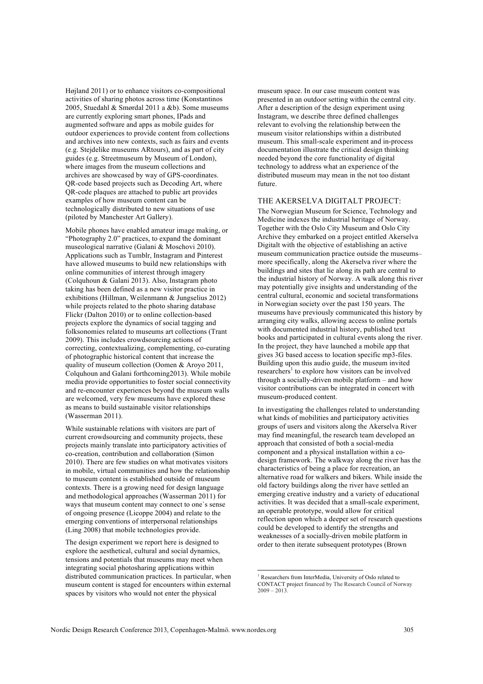Højland 2011) or to enhance visitors co-compositional activities of sharing photos across time (Konstantinos 2005, Stuedahl & Smørdal 2011 a &b). Some museums are currently exploring smart phones, IPads and augmented software and apps as mobile guides for outdoor experiences to provide content from collections and archives into new contexts, such as fairs and events (e.g. Stejdelike museums ARtours), and as part of city guides (e.g. Streetmuseum by Museum of London), where images from the museum collections and archives are showcased by way of GPS-coordinates. QR-code based projects such as Decoding Art, where QR-code plaques are attached to public art provides examples of how museum content can be technologically distributed to new situations of use (piloted by Manchester Art Gallery).

Mobile phones have enabled amateur image making, or "Photography 2.0" practices, to expand the dominant museological narrative (Galani & Moschovi 2010). Applications such as Tumblr, Instagram and Pinterest have allowed museums to build new relationships with online communities of interest through imagery (Colquhoun & Galani 2013). Also, Instagram photo taking has been defined as a new visitor practice in exhibitions (Hillman, Weilenmann & Jungselius 2012) while projects related to the photo sharing database Flickr (Dalton 2010) or to online collection-based projects explore the dynamics of social tagging and folksonomies related to museums art collections (Trant 2009). This includes crowdsourcing actions of correcting, contextualizing, complementing, co-curating of photographic historical content that increase the quality of museum collection (Oomen & Aroyo 2011, Colquhoun and Galani forthcoming2013). While mobile media provide opportunities to foster social connectivity and re-encounter experiences beyond the museum walls are welcomed, very few museums have explored these as means to build sustainable visitor relationships (Wasserman 2011).

While sustainable relations with visitors are part of current crowdsourcing and community projects, these projects mainly translate into participatory activities of co-creation, contribution and collaboration (Simon 2010). There are few studies on what motivates visitors in mobile, virtual communities and how the relationship to museum content is established outside of museum contexts. There is a growing need for design language and methodological approaches (Wasserman 2011) for ways that museum content may connect to one`s sense of ongoing presence (Licoppe 2004) and relate to the emerging conventions of interpersonal relationships (Ling 2008) that mobile technologies provide.

The design experiment we report here is designed to explore the aesthetical, cultural and social dynamics, tensions and potentials that museums may meet when integrating social photosharing applications within distributed communication practices. In particular, when museum content is staged for encounters within external spaces by visitors who would not enter the physical

museum space. In our case museum content was presented in an outdoor setting within the central city. After a description of the design experiment using Instagram, we describe three defined challenges relevant to evolving the relationship between the museum visitor relationships within a distributed museum. This small-scale experiment and in-process documentation illustrate the critical design thinking needed beyond the core functionality of digital technology to address what an experience of the distributed museum may mean in the not too distant future.

### THE AKERSELVA DIGITALT PROJECT:

The Norwegian Museum for Science, Technology and Medicine indexes the industrial heritage of Norway. Together with the Oslo City Museum and Oslo City Archive they embarked on a project entitled Akerselva Digitalt with the objective of establishing an active museum communication practice outside the museums– more specifically, along the Akerselva river where the buildings and sites that lie along its path are central to the industrial history of Norway. A walk along this river may potentially give insights and understanding of the central cultural, economic and societal transformations in Norwegian society over the past 150 years. The museums have previously communicated this history by arranging city walks, allowing access to online portals with documented industrial history, published text books and participated in cultural events along the river. In the project, they have launched a mobile app that gives 3G based access to location specific mp3-files. Building upon this audio guide, the museum invited researchers<sup>1</sup> to explore how visitors can be involved through a socially-driven mobile platform – and how visitor contributions can be integrated in concert with museum-produced content.

In investigating the challenges related to understanding what kinds of mobilities and participatory activities groups of users and visitors along the Akerselva River may find meaningful, the research team developed an approach that consisted of both a social-media component and a physical installation within a codesign framework. The walkway along the river has the characteristics of being a place for recreation, an alternative road for walkers and bikers. While inside the old factory buildings along the river have settled an emerging creative industry and a variety of educational activities. It was decided that a small-scale experiment, an operable prototype, would allow for critical reflection upon which a deeper set of research questions could be developed to identify the strengths and weaknesses of a socially-driven mobile platform in order to then iterate subsequent prototypes (Brown

<sup>&</sup>lt;sup>1</sup> Researchers from InterMedia, University of Oslo related to CONTACT project financed by The Research Council of Norway  $2009 - 2013$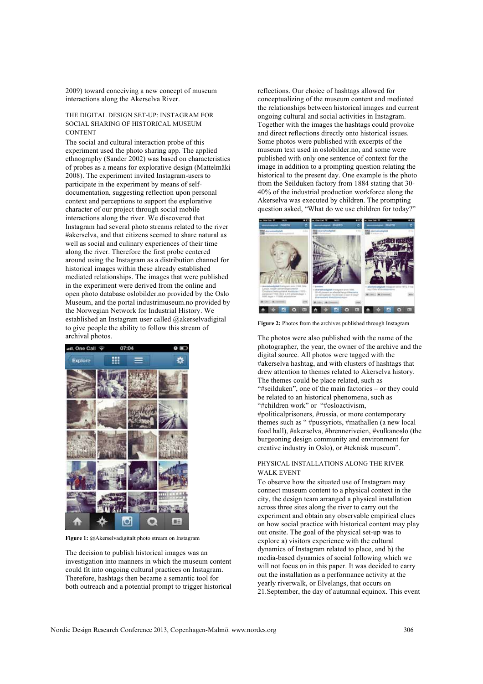2009) toward conceiving a new concept of museum interactions along the Akerselva River.

#### THE DIGITAL DESIGN SET-UP: INSTAGRAM FOR SOCIAL SHARING OF HISTORICAL MUSEUM CONTENT

The social and cultural interaction probe of this experiment used the photo sharing app. The applied ethnography (Sander 2002) was based on characteristics of probes as a means for explorative design (Mattelmäki 2008). The experiment invited Instagram-users to participate in the experiment by means of selfdocumentation, suggesting reflection upon personal context and perceptions to support the explorative character of our project through social mobile interactions along the river. We discovered that Instagram had several photo streams related to the river #akerselva, and that citizens seemed to share natural as well as social and culinary experiences of their time along the river. Therefore the first probe centered around using the Instagram as a distribution channel for historical images within these already established mediated relationships. The images that were published in the experiment were derived from the online and open photo database oslobilder.no provided by the Oslo Museum, and the portal industrimuseum.no provided by the Norwegian Network for Industrial History. We established an Instagram user called @akerselvadigital to give people the ability to follow this stream of archival photos.



**Figure 1:** @Akerselvadigitalt photo stream on Instagram

The decision to publish historical images was an investigation into manners in which the museum content could fit into ongoing cultural practices on Instagram. Therefore, hashtags then became a semantic tool for both outreach and a potential prompt to trigger historical reflections. Our choice of hashtags allowed for conceptualizing of the museum content and mediated the relationships between historical images and current ongoing cultural and social activities in Instagram. Together with the images the hashtags could provoke and direct reflections directly onto historical issues. Some photos were published with excerpts of the museum text used in oslobilder.no, and some were published with only one sentence of context for the image in addition to a prompting question relating the historical to the present day. One example is the photo from the Seilduken factory from 1884 stating that 30- 40% of the industrial production workforce along the Akerselva was executed by children. The prompting question asked, "What do we use children for today?"



**Figure 2:** Photos from the archives published through Instagram

The photos were also published with the name of the photographer, the year, the owner of the archive and the digital source. All photos were tagged with the #akerselva hashtag, and with clusters of hashtags that drew attention to themes related to Akerselva history. The themes could be place related, such as "#seilduken", one of the main factories – or they could be related to an historical phenomena, such as "#children work" or "#osloactivism, #politicalprisoners, #russia, or more contemporary themes such as " #pussyriots, #mathallen (a new local food hall), #akerselva, #brenneriveien, #vulkanoslo (the burgeoning design community and environment for creative industry in Oslo), or #teknisk museum".

## PHYSICAL INSTALLATIONS ALONG THE RIVER WALK EVENT

To observe how the situated use of Instagram may connect museum content to a physical context in the city, the design team arranged a physical installation across three sites along the river to carry out the experiment and obtain any observable empirical clues on how social practice with historical content may play out onsite. The goal of the physical set-up was to explore a) visitors experience with the cultural dynamics of Instagram related to place, and b) the media-based dynamics of social following which we will not focus on in this paper. It was decided to carry out the installation as a performance activity at the yearly riverwalk, or Elvelangs, that occurs on 21.September, the day of autumnal equinox. This event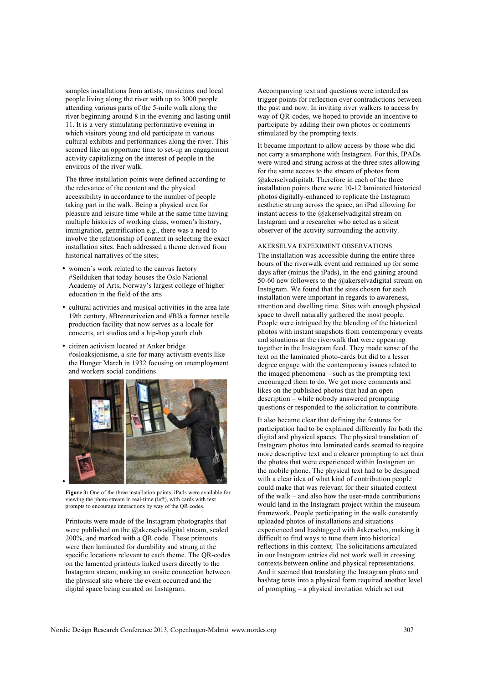samples installations from artists, musicians and local people living along the river with up to 3000 people attending various parts of the 5-mile walk along the river beginning around 8 in the evening and lasting until 11. It is a very stimulating performative evening in which visitors young and old participate in various cultural exhibits and performances along the river. This seemed like an opportune time to set-up an engagement activity capitalizing on the interest of people in the environs of the river walk.

The three installation points were defined according to the relevance of the content and the physical accessibility in accordance to the number of people taking part in the walk. Being a physical area for pleasure and leisure time while at the same time having multiple histories of working class, women's history, immigration, gentrification e.g., there was a need to involve the relationship of content in selecting the exact installation sites. Each addressed a theme derived from historical narratives of the sites;

- women`s work related to the canvas factory #Seilduken that today houses the Oslo National Academy of Arts, Norway's largest college of higher education in the field of the arts
- cultural activities and musical activities in the area late 19th century, #Brenneriveien and #Blå a former textile production facility that now serves as a locale for concerts, art studios and a hip-hop youth club
- citizen activism located at Anker bridge #osloaksjonisme, a site for many activism events like the Hunger March in 1932 focusing on unemployment and workers social conditions



**Figure 3:** One of the three installation points. iPads were available for viewing the photo stream in real-time (left), with cards with text prompts to encourage interactions by way of the QR codes.

Printouts were made of the Instagram photographs that were published on the @akerselvadigital stream, scaled 200%, and marked with a QR code. These printouts were then laminated for durability and strung at the specific locations relevant to each theme. The QR-codes on the lamented printouts linked users directly to the Instagram stream, making an onsite connection between the physical site where the event occurred and the digital space being curated on Instagram.

Accompanying text and questions were intended as trigger points for reflection over contradictions between the past and now. In inviting river walkers to access by way of QR-codes, we hoped to provide an incentive to participate by adding their own photos or comments stimulated by the prompting texts.

It became important to allow access by those who did not carry a smartphone with Instagram. For this, IPADs were wired and strung across at the three sites allowing for the same access to the stream of photos from @akerselvadigitalt. Therefore in each of the three installation points there were 10-12 laminated historical photos digitally-enhanced to replicate the Instagram aesthetic strung across the space, an iPad allowing for instant access to the @akerselvadigital stream on Instagram and a researcher who acted as a silent observer of the activity surrounding the activity.

#### AKERSELVA EXPERIMENT OBSERVATIONS

The installation was accessible during the entire three hours of the riverwalk event and remained up for some days after (minus the iPads), in the end gaining around 50-60 new followers to the @akerselvadigital stream on Instagram. We found that the sites chosen for each installation were important in regards to awareness, attention and dwelling time. Sites with enough physical space to dwell naturally gathered the most people. People were intrigued by the blending of the historical photos with instant snapshots from contemporary events and situations at the riverwalk that were appearing together in the Instagram feed. They made sense of the text on the laminated photo-cards but did to a lesser degree engage with the contemporary issues related to the imaged phenomena – such as the prompting text encouraged them to do. We got more comments and likes on the published photos that had an open description – while nobody answered prompting questions or responded to the solicitation to contribute.

It also became clear that defining the features for participation had to be explained differently for both the digital and physical spaces. The physical translation of Instagram photos into laminated cards seemed to require more descriptive text and a clearer prompting to act than the photos that were experienced within Instagram on the mobile phone. The physical text had to be designed with a clear idea of what kind of contribution people could make that was relevant for their situated context of the walk – and also how the user-made contributions would land in the Instagram project within the museum framework. People participating in the walk constantly uploaded photos of installations and situations experienced and hashtagged with #akerselva, making it difficult to find ways to tune them into historical reflections in this context. The solicitations articulated in our Instagram entries did not work well in crossing contexts between online and physical representations. And it seemed that translating the Instagram photo and hashtag texts into a physical form required another level of prompting – a physical invitation which set out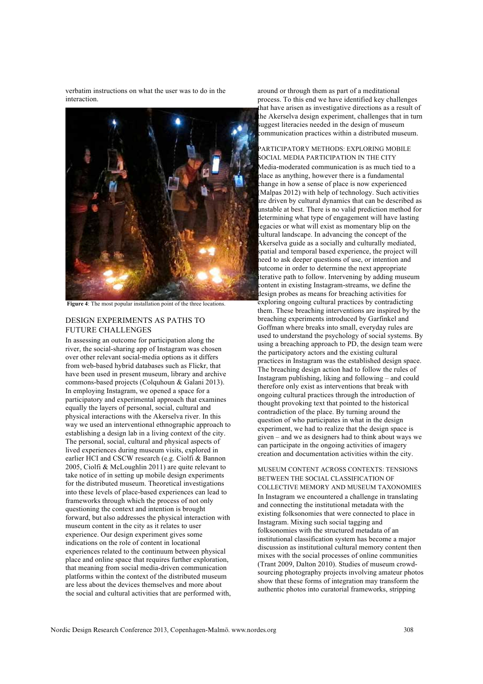verbatim instructions on what the user was to do in the interaction.



**Figure 4**: The most popular installation point of the three locations.

## DESIGN EXPERIMENTS AS PATHS TO FUTURE CHALLENGES

In assessing an outcome for participation along the river, the social-sharing app of Instagram was chosen over other relevant social-media options as it differs from web-based hybrid databases such as Flickr, that have been used in present museum, library and archive commons-based projects (Colquhoun & Galani 2013). In employing Instagram, we opened a space for a participatory and experimental approach that examines equally the layers of personal, social, cultural and physical interactions with the Akerselva river. In this way we used an interventional ethnographic approach to establishing a design lab in a living context of the city. The personal, social, cultural and physical aspects of lived experiences during museum visits, explored in earlier HCI and CSCW research (e.g. Ciolfi & Bannon 2005, Ciolfi & McLoughlin 2011) are quite relevant to take notice of in setting up mobile design experiments for the distributed museum. Theoretical investigations into these levels of place-based experiences can lead to frameworks through which the process of not only questioning the context and intention is brought forward, but also addresses the physical interaction with museum content in the city as it relates to user experience. Our design experiment gives some indications on the role of content in locational experiences related to the continuum between physical place and online space that requires further exploration, that meaning from social media-driven communication platforms within the context of the distributed museum are less about the devices themselves and more about the social and cultural activities that are performed with, around or through them as part of a meditational process. To this end we have identified key challenges that have arisen as investigative directions as a result of he Akerselva design experiment, challenges that in turn suggest literacies needed in the design of museum communication practices within a distributed museum.

PARTICIPATORY METHODS: EXPLORING MOBILE SOCIAL MEDIA PARTICIPATION IN THE CITY Media-moderated communication is as much tied to a place as anything, however there is a fundamental change in how a sense of place is now experienced Malpas 2012) with help of technology. Such activities are driven by cultural dynamics that can be described as unstable at best. There is no valid prediction method for determining what type of engagement will have lasting legacies or what will exist as momentary blip on the cultural landscape. In advancing the concept of the Akerselva guide as a socially and culturally mediated, spatial and temporal based experience, the project will need to ask deeper questions of use, or intention and outcome in order to determine the next appropriate iterative path to follow. Intervening by adding museum content in existing Instagram-streams, we define the design probes as means for breaching activities for exploring ongoing cultural practices by contradicting them. These breaching interventions are inspired by the breaching experiments introduced by Garfinkel and Goffman where breaks into small, everyday rules are used to understand the psychology of social systems. By using a breaching approach to PD, the design team were the participatory actors and the existing cultural practices in Instagram was the established design space. The breaching design action had to follow the rules of Instagram publishing, liking and following – and could therefore only exist as interventions that break with ongoing cultural practices through the introduction of thought provoking text that pointed to the historical contradiction of the place. By turning around the question of who participates in what in the design experiment, we had to realize that the design space is given – and we as designers had to think about ways we can participate in the ongoing activities of imagery creation and documentation activities within the city.

MUSEUM CONTENT ACROSS CONTEXTS: TENSIONS BETWEEN THE SOCIAL CLASSIFICATION OF COLLECTIVE MEMORY AND MUSEUM TAXONOMIES In Instagram we encountered a challenge in translating and connecting the institutional metadata with the existing folksonomies that were connected to place in Instagram. Mixing such social tagging and folksonomies with the structured metadata of an institutional classification system has become a major discussion as institutional cultural memory content then mixes with the social processes of online communities (Trant 2009, Dalton 2010). Studies of museum crowdsourcing photography projects involving amateur photos show that these forms of integration may transform the authentic photos into curatorial frameworks, stripping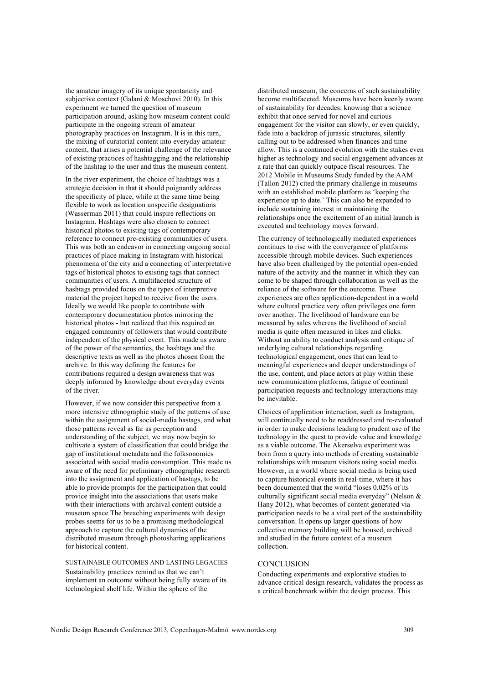the amateur imagery of its unique spontaneity and subjective context (Galani & Moschovi 2010). In this experiment we turned the question of museum participation around, asking how museum content could participate in the ongoing stream of amateur photography practices on Instagram. It is in this turn, the mixing of curatorial content into everyday amateur content, that arises a potential challenge of the relevance of existing practices of hashtagging and the relationship of the hashtag to the user and thus the museum content.

In the river experiment, the choice of hashtags was a strategic decision in that it should poignantly address the specificity of place, while at the same time being flexible to work as location unspecific designations (Wasserman 2011) that could inspire reflections on Instagram. Hashtags were also chosen to connect historical photos to existing tags of contemporary reference to connect pre-existing communities of users. This was both an endeavor in connecting ongoing social practices of place making in Instagram with historical phenomena of the city and a connecting of interpretative tags of historical photos to existing tags that connect communities of users. A multifaceted structure of hashtags provided focus on the types of interpretive material the project hoped to receive from the users. Ideally we would like people to contribute with contemporary documentation photos mirroring the historical photos - but realized that this required an engaged community of followers that would contribute independent of the physical event. This made us aware of the power of the semantics, the hashtags and the descriptive texts as well as the photos chosen from the archive. In this way defining the features for contributions required a design awareness that was deeply informed by knowledge about everyday events of the river.

However, if we now consider this perspective from a more intensive ethnographic study of the patterns of use within the assignment of social-media hastags, and what those patterns reveal as far as perception and understanding of the subject, we may now begin to cultivate a system of classification that could bridge the gap of institutional metadata and the folksonomies associated with social media consumption. This made us aware of the need for preliminary ethnographic research into the assignment and application of hastags, to be able to provide prompts for the participation that could provice insight into the associations that users make with their interactions with archival content outside a museum space The breaching experiments with design probes seems for us to be a promising methodological approach to capture the cultural dynamics of the distributed museum through photosharing applications for historical content.

SUSTAINABLE OUTCOMES AND LASTING LEGACIES Sustainability practices remind us that we can't implement an outcome without being fully aware of its technological shelf life. Within the sphere of the

distributed museum, the concerns of such sustainability become multifaceted. Museums have been keenly aware of sustainability for decades; knowing that a science exhibit that once served for novel and curious engagement for the visitor can slowly, or even quickly, fade into a backdrop of jurassic structures, silently calling out to be addressed when finances and time allow. This is a continued evolution with the stakes even higher as technology and social engagement advances at a rate that can quickly outpace fiscal resources. The 2012 Mobile in Museums Study funded by the AAM (Tallon 2012) cited the primary challenge in museums with an established mobile platform as 'keeping the experience up to date.' This can also be expanded to include sustaining interest in maintaining the relationships once the excitement of an initial launch is executed and technology moves forward.

The currency of technologically mediated experiences continues to rise with the convergence of platforms accessible through mobile devices. Such experiences have also been challenged by the potential open-ended nature of the activity and the manner in which they can come to be shaped through collaboration as well as the reliance of the software for the outcome. These experiences are often application-dependent in a world where cultural practice very often privileges one form over another. The livelihood of hardware can be measured by sales whereas the livelihood of social media is quite often measured in likes and clicks. Without an ability to conduct analysis and critique of underlying cultural relationships regarding technological engagement, ones that can lead to meaningful experiences and deeper understandings of the use, content, and place actors at play within these new communication platforms, fatigue of continual participation requests and technology interactions may be inevitable.

Choices of application interaction, such as Instagram, will continually need to be readdressed and re-evaluated in order to make decisions leading to prudent use of the technology in the quest to provide value and knowledge as a viable outcome. The Akerselva experiment was born from a query into methods of creating sustainable relationships with museum visitors using social media. However, in a world where social media is being used to capture historical events in real-time, where it has been documented that the world "loses 0.02% of its culturally significant social media everyday" (Nelson & Hany 2012), what becomes of content generated via participation needs to be a vital part of the sustainability conversation. It opens up larger questions of how collective memory building will be housed, archived and studied in the future context of a museum collection.

## **CONCLUSION**

Conducting experiments and explorative studies to advance critical design research, validates the process as a critical benchmark within the design process. This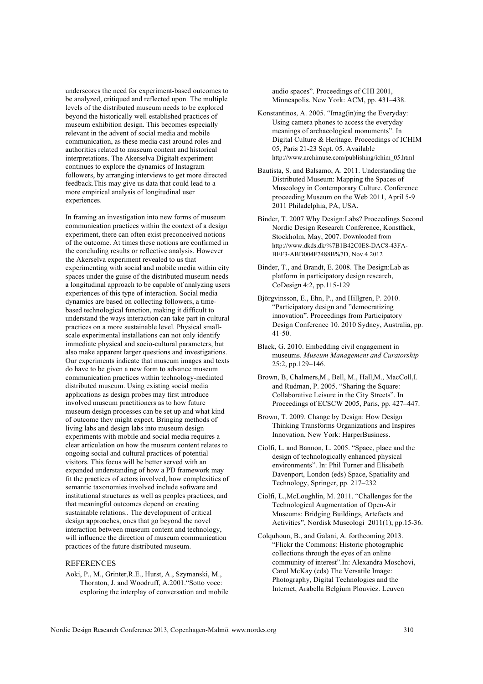underscores the need for experiment-based outcomes to be analyzed, critiqued and reflected upon. The multiple levels of the distributed museum needs to be explored beyond the historically well established practices of museum exhibition design. This becomes especially relevant in the advent of social media and mobile communication, as these media cast around roles and authorities related to museum content and historical interpretations. The Akerselva Digitalt experiment continues to explore the dynamics of Instagram followers, by arranging interviews to get more directed feedback.This may give us data that could lead to a more empirical analysis of longitudinal user experiences.

In framing an investigation into new forms of museum communication practices within the context of a design experiment, there can often exist preconceived notions of the outcome. At times these notions are confirmed in the concluding results or reflective analysis. However the Akerselva experiment revealed to us that experimenting with social and mobile media within city spaces under the guise of the distributed museum needs a longitudinal approach to be capable of analyzing users experiences of this type of interaction. Social media dynamics are based on collecting followers, a timebased technological function, making it difficult to understand the ways interaction can take part in cultural practices on a more sustainable level. Physical smallscale experimental installations can not only identify immediate physical and socio-cultural parameters, but also make apparent larger questions and investigations. Our experiments indicate that museum images and texts do have to be given a new form to advance museum communication practices within technology-mediated distributed museum. Using existing social media applications as design probes may first introduce involved museum practitioners as to how future museum design processes can be set up and what kind of outcome they might expect. Bringing methods of living labs and design labs into museum design experiments with mobile and social media requires a clear articulation on how the museum content relates to ongoing social and cultural practices of potential visitors. This focus will be better served with an expanded understanding of how a PD framework may fit the practices of actors involved, how complexities of semantic taxonomies involved include software and institutional structures as well as peoples practices, and that meaningful outcomes depend on creating sustainable relations.. The development of critical design approaches, ones that go beyond the novel interaction between museum content and technology, will influence the direction of museum communication practices of the future distributed museum.

## REFERENCES

Aoki, P., M., Grinter,R.E., Hurst, A., Szymanski, M., Thornton, J. and Woodruff, A.2001."Sotto voce: exploring the interplay of conversation and mobile audio spaces". Proceedings of CHI 2001, Minneapolis. New York: ACM, pp. 431–438.

- Konstantinos, A. 2005. "Imag(in)ing the Everyday: Using camera phones to access the everyday meanings of archaeological monuments". In Digital Culture & Heritage. Proceedings of ICHIM 05, Paris 21-23 Sept. 05. Available http://www.archimuse.com/publishing/ichim\_05.html
- Bautista, S. and Balsamo, A. 2011. Understanding the Distributed Museum: Mapping the Spaces of Museology in Contemporary Culture. Conference proceeding Museum on the Web 2011, April 5-9 2011 Philadelphia, PA, USA.

Binder, T. 2007 Why Design:Labs? Proceedings Second Nordic Design Research Conference, Konstfack, Stockholm, May, 2007. Downloaded from http://www.dkds.dk/%7B1B42C0E8-DAC8-43FA-BEF3-ABD004F7488B%7D, Nov.4 2012

- Binder, T., and Brandt, E. 2008. The Design:Lab as platform in participatory design research, CoDesign 4:2, pp.115-129
- Björgvinsson, E., Ehn, P., and Hillgren, P. 2010. "Participatory design and "democratizing innovation". Proceedings from Participatory Design Conference 10. 2010 Sydney, Australia, pp. 41-50.
- Black, G. 2010. Embedding civil engagement in museums. *Museum Management and Curatorship* 25:2, pp.129–146.
- Brown, B, Chalmers,M., Bell, M., Hall,M., MacColl,I. and Rudman, P. 2005. "Sharing the Square: Collaborative Leisure in the City Streets". In Proceedings of ECSCW 2005, Paris, pp. 427–447.
- Brown, T. 2009. Change by Design: How Design Thinking Transforms Organizations and Inspires Innovation, New York: HarperBusiness.
- Ciolfi, L. and Bannon, L. 2005. "Space, place and the design of technologically enhanced physical environments". In: Phil Turner and Elisabeth Davenport, London (eds) Space, Spatiality and Technology, Springer, pp. 217–232
- Ciolfi, L.,McLoughlin, M. 2011. "Challenges for the Technological Augmentation of Open-Air Museums: Bridging Buildings, Artefacts and Activities", Nordisk Museologi 2011(1), pp.15-36.
- Colquhoun, B., and Galani, A. forthcoming 2013. "Flickr the Commons: Historic photographic collections through the eyes of an online community of interest".In: Alexandra Moschovi, Carol McKay (eds) The Versatile Image: Photography, Digital Technologies and the Internet, Arabella Belgium Plouviez. Leuven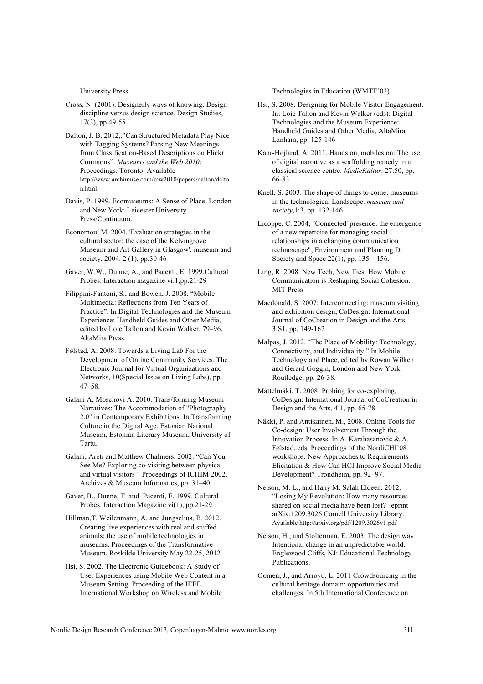University Press.

- Cross, N. (2001). Designerly ways of knowing: Design discipline versus design science. Design Studies, 17(3), pp.49-55.
- Dalton, J. B. 2012,."Can Structured Metadata Play Nice with Tagging Systems? Parsing New Meanings from Classification-Based Descriptions on Flickr Commons". *Museums and the Web 2010*: Proceedings. Toronto: Available http://www.archimuse.com/mw2010/papers/dalton/dalto n.html
- Davis, P. 1999. Ecomuseums: A Sense of Place. London and New York: Leicester University Press/Continuum.
- Economou, M. 2004. 'Evaluation strategies in the cultural sector: the case of the Kelvingrove Museum and Art Gallery in Glasgow', museum and society, 2004. 2 (1), pp.30-46
- Gaver, W.W., Dunne, A., and Pacenti, E. 1999.Cultural Probes. Interaction magazine vi:1,pp.21-29
- Filippini-Fantoni, S., and Bowen, J. 2008. "Mobile Multimedia: Reflections from Ten Years of Practice". In Digital Technologies and the Museum Experience: Handheld Guides and Other Media, edited by Loic Tallon and Kevin Walker, 79–96. AltaMira Press.
- Følstad, A. 2008. Towards a Living Lab For the Development of Online Community Services. The Electronic Journal for Virtual Organizations and Networks, 10(Special Issue on Living Labs), pp. 47–58.
- Galani A, Moschovi A. 2010. Trans/forming Museum Narratives: The Accommodation of "Photography 2.0" in Contemporary Exhibitions. In Transforming Culture in the Digital Age. Estonian National Museum, Estonian Literary Museum, University of Tartu.
- Galani, Areti and Matthew Chalmers. 2002. "Can You See Me? Exploring co-visiting between physical and virtual visitors". Proceedings of ICHIM 2002, Archives & Museum Informatics, pp. 31–40.
- Gaver, B., Dunne, T. and Pacenti, E. 1999. Cultural Probes. Interaction Magazine vi(1), pp.21-29.
- Hillman,T. Weilenmann, A. and Jungselius, B. 2012. Creating live experiences with real and stuffed animals: the use of mobile technologies in museums. Proceedings of the Transformative Museum. Roskilde University May 22-25, 2012
- Hsi, S. 2002. The Electronic Guidebook: A Study of User Experiences using Mobile Web Content in a Museum Setting. Proceeding of the IEEE International Workshop on Wireless and Mobile

Technologies in Education (WMTE`02)

- Hsi, S. 2008. Designing for Mobile Visitor Engagement. In: Loic Tallon and Kevin Walker (eds): Digital Technologies and the Museum Experience: Handheld Guides and Other Media, AltaMira Lanham, pp. 125-146
- Kahr-Højland, A. 2011. Hands on, mobiles on: The use of digital narrative as a scaffolding remedy in a classical science centre. *MedieKultur*. 27:50, pp. 66-83.
- Knell, S. 2003. The shape of things to come: museums in the technological Landscape. *museum and society*,1:3, pp. 132-146.
- Licoppe, C. 2004, "Connected' presence: the emergence of a new repertoire for managing social relationships in a changing communication technoscape", Environment and Planning D: Society and Space 22(1), pp. 135 – 156.
- Ling, R. 2008. New Tech, New Ties: How Mobile Communication is Reshaping Social Cohesion. MIT Press
- Macdonald, S. 2007: Interconnecting: museum visiting and exhibition design, CoDesign: International Journal of CoCreation in Design and the Arts, 3:S1, pp. 149-162
- Malpas, J. 2012. "The Place of Mobility: Technology, Connectivity, and Individuality." In Mobile Technology and Place, edited by Rowan Wilken and Gerard Goggin, London and New York, Routledge, pp. 26-38.
- Mattelmäki, T. 2008: Probing for co-exploring, CoDesign: International Journal of CoCreation in Design and the Arts, 4:1, pp. 65-78
- Näkki, P. and Antikainen, M., 2008. Online Tools for Co-design: User Involvement Through the Innovation Process. In A. Karahasanović & A. Følstad, eds. Proceedings of the NordiCHI'08 workshops. New Approaches to Requirements Elicitation & How Can HCI Improve Social Media Development? Trondheim, pp. 92–97.
- Nelson, M. L., and Hany M. Salah Eldeen. 2012. "Losing My Revolution: How many resources shared on social media have been lost?" eprint arXiv:1209.3026 Cornell University Library. Available http://arxiv.org/pdf/1209.3026v1.pdf
- Nelson, H., and Stolterman, E. 2003. The design way: Intentional change in an unpredictable world. Englewood Cliffs, NJ: Educational Technology Publications.
- Oomen, J., and Arroyo, L. 2011 Crowdsourcing in the cultural heritage domain: opportunities and challenges. In 5th International Conference on